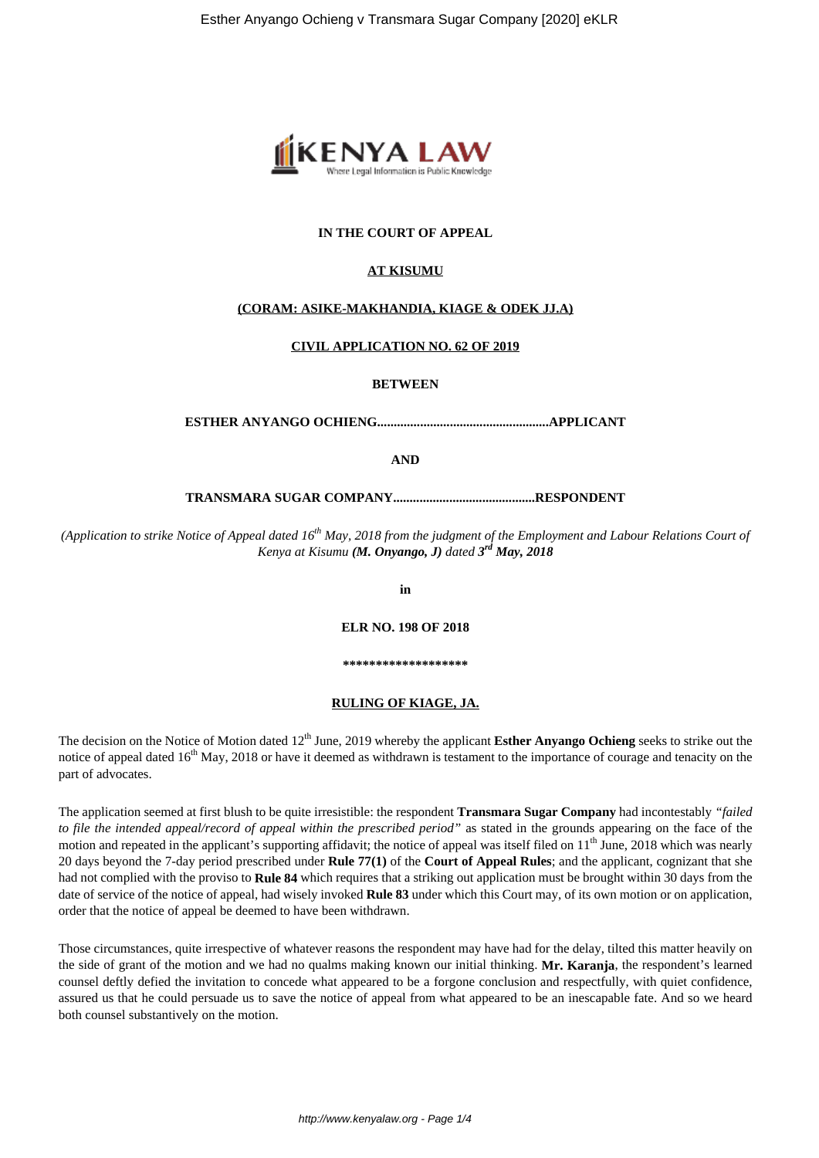

## **IN THE COURT OF APPEAL**

### **AT KISUMU**

### **(CORAM: ASIKE-MAKHANDIA, KIAGE & ODEK JJ.A)**

### **CIVIL APPLICATION NO. 62 OF 2019**

**BETWEEN**

**ESTHER ANYANGO OCHIENG....................................................APPLICANT**

**AND**

**TRANSMARA SUGAR COMPANY...........................................RESPONDENT**

*(Application to strike Notice of Appeal dated 16th May, 2018 from the judgment of the Employment and Labour Relations Court of Kenya at Kisumu (M. Onyango, J) dated 3 rd May, 2018*

**in**

**ELR NO. 198 OF 2018**

**\*\*\*\*\*\*\*\*\*\*\*\*\*\*\*\*\*\*\***

## **RULING OF KIAGE, JA.**

The decision on the Notice of Motion dated 12<sup>th</sup> June, 2019 whereby the applicant **Esther Anyango Ochieng** seeks to strike out the notice of appeal dated  $16<sup>th</sup>$  May, 2018 or have it deemed as withdrawn is testament to the importance of courage and tenacity on the part of advocates.

The application seemed at first blush to be quite irresistible: the respondent **Transmara Sugar Company** had incontestably *"failed to file the intended appeal/record of appeal within the prescribed period"* as stated in the grounds appearing on the face of the motion and repeated in the applicant's supporting affidavit; the notice of appeal was itself filed on 11<sup>th</sup> June, 2018 which was nearly 20 days beyond the 7-day period prescribed under **Rule 77(1)** of the **Court of Appeal Rules**; and the applicant, cognizant that she had not complied with the proviso to **Rule 84** which requires that a striking out application must be brought within 30 days from the date of service of the notice of appeal, had wisely invoked **Rule 83** under which this Court may, of its own motion or on application, order that the notice of appeal be deemed to have been withdrawn.

Those circumstances, quite irrespective of whatever reasons the respondent may have had for the delay, tilted this matter heavily on the side of grant of the motion and we had no qualms making known our initial thinking. **Mr. Karanja**, the respondent's learned counsel deftly defied the invitation to concede what appeared to be a forgone conclusion and respectfully, with quiet confidence, assured us that he could persuade us to save the notice of appeal from what appeared to be an inescapable fate. And so we heard both counsel substantively on the motion.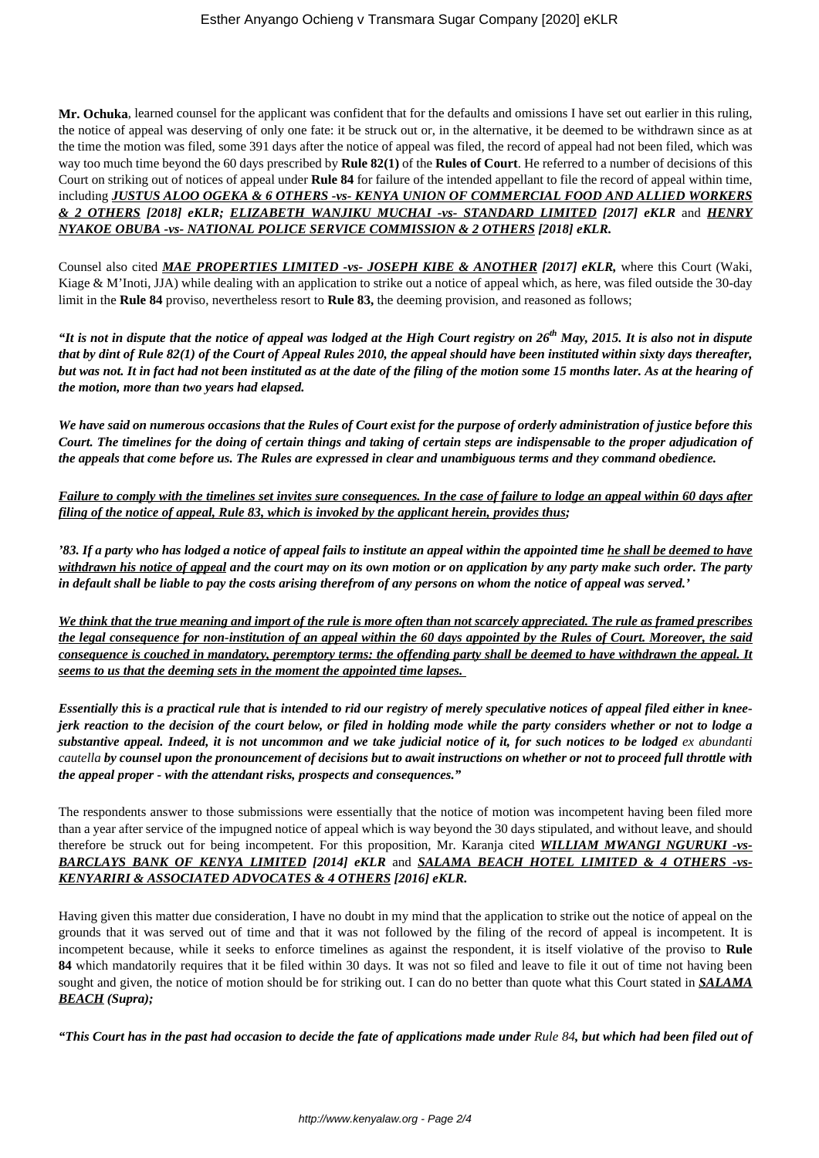**Mr. Ochuka**, learned counsel for the applicant was confident that for the defaults and omissions I have set out earlier in this ruling, the notice of appeal was deserving of only one fate: it be struck out or, in the alternative, it be deemed to be withdrawn since as at the time the motion was filed, some 391 days after the notice of appeal was filed, the record of appeal had not been filed, which was way too much time beyond the 60 days prescribed by **Rule 82(1)** of the **Rules of Court**. He referred to a number of decisions of this Court on striking out of notices of appeal under **Rule 84** for failure of the intended appellant to file the record of appeal within time, including *JUSTUS ALOO OGEKA & 6 OTHERS -vs- KENYA UNION OF COMMERCIAL FOOD AND ALLIED WORKERS & 2 OTHERS [2018] eKLR; ELIZABETH WANJIKU MUCHAI -vs- STANDARD LIMITED [2017] eKLR* and *HENRY NYAKOE OBUBA -vs- NATIONAL POLICE SERVICE COMMISSION & 2 OTHERS [2018] eKLR.*

Counsel also cited *MAE PROPERTIES LIMITED -vs- JOSEPH KIBE & ANOTHER [2017] eKLR,* where this Court (Waki, Kiage & M'Inoti, JJA) while dealing with an application to strike out a notice of appeal which, as here, was filed outside the 30-day limit in the **Rule 84** proviso, nevertheless resort to **Rule 83,** the deeming provision, and reasoned as follows;

*"It is not in dispute that the notice of appeal was lodged at the High Court registry on 26th May, 2015. It is also not in dispute that by dint of Rule 82(1) of the Court of Appeal Rules 2010, the appeal should have been instituted within sixty days thereafter, but was not. It in fact had not been instituted as at the date of the filing of the motion some 15 months later. As at the hearing of the motion, more than two years had elapsed.*

*We have said on numerous occasions that the Rules of Court exist for the purpose of orderly administration of justice before this Court. The timelines for the doing of certain things and taking of certain steps are indispensable to the proper adjudication of the appeals that come before us. The Rules are expressed in clear and unambiguous terms and they command obedience.*

*Failure to comply with the timelines set invites sure consequences. In the case of failure to lodge an appeal within 60 days after filing of the notice of appeal, Rule 83, which is invoked by the applicant herein, provides thus;*

*'83. If a party who has lodged a notice of appeal fails to institute an appeal within the appointed time he shall be deemed to have withdrawn his notice of appeal and the court may on its own motion or on application by any party make such order. The party in default shall be liable to pay the costs arising therefrom of any persons on whom the notice of appeal was served.'*

*We think that the true meaning and import of the rule is more often than not scarcely appreciated. The rule as framed prescribes the legal consequence for non-institution of an appeal within the 60 days appointed by the Rules of Court. Moreover, the said consequence is couched in mandatory, peremptory terms: the offending party shall be deemed to have withdrawn the appeal. It seems to us that the deeming sets in the moment the appointed time lapses.* 

*Essentially this is a practical rule that is intended to rid our registry of merely speculative notices of appeal filed either in kneejerk reaction to the decision of the court below, or filed in holding mode while the party considers whether or not to lodge a substantive appeal. Indeed, it is not uncommon and we take judicial notice of it, for such notices to be lodged ex abundanti cautella by counsel upon the pronouncement of decisions but to await instructions on whether or not to proceed full throttle with the appeal proper - with the attendant risks, prospects and consequences."*

The respondents answer to those submissions were essentially that the notice of motion was incompetent having been filed more than a year after service of the impugned notice of appeal which is way beyond the 30 days stipulated, and without leave, and should therefore be struck out for being incompetent. For this proposition, Mr. Karanja cited *WILLIAM MWANGI NGURUKI -vs-BARCLAYS BANK OF KENYA LIMITED [2014] eKLR* and *SALAMA BEACH HOTEL LIMITED & 4 OTHERS -vs-KENYARIRI & ASSOCIATED ADVOCATES & 4 OTHERS [2016] eKLR.*

Having given this matter due consideration, I have no doubt in my mind that the application to strike out the notice of appeal on the grounds that it was served out of time and that it was not followed by the filing of the record of appeal is incompetent. It is incompetent because, while it seeks to enforce timelines as against the respondent, it is itself violative of the proviso to **Rule 84** which mandatorily requires that it be filed within 30 days. It was not so filed and leave to file it out of time not having been sought and given, the notice of motion should be for striking out. I can do no better than quote what this Court stated in *SALAMA BEACH (Supra);*

*"This Court has in the past had occasion to decide the fate of applications made under Rule 84, but which had been filed out of*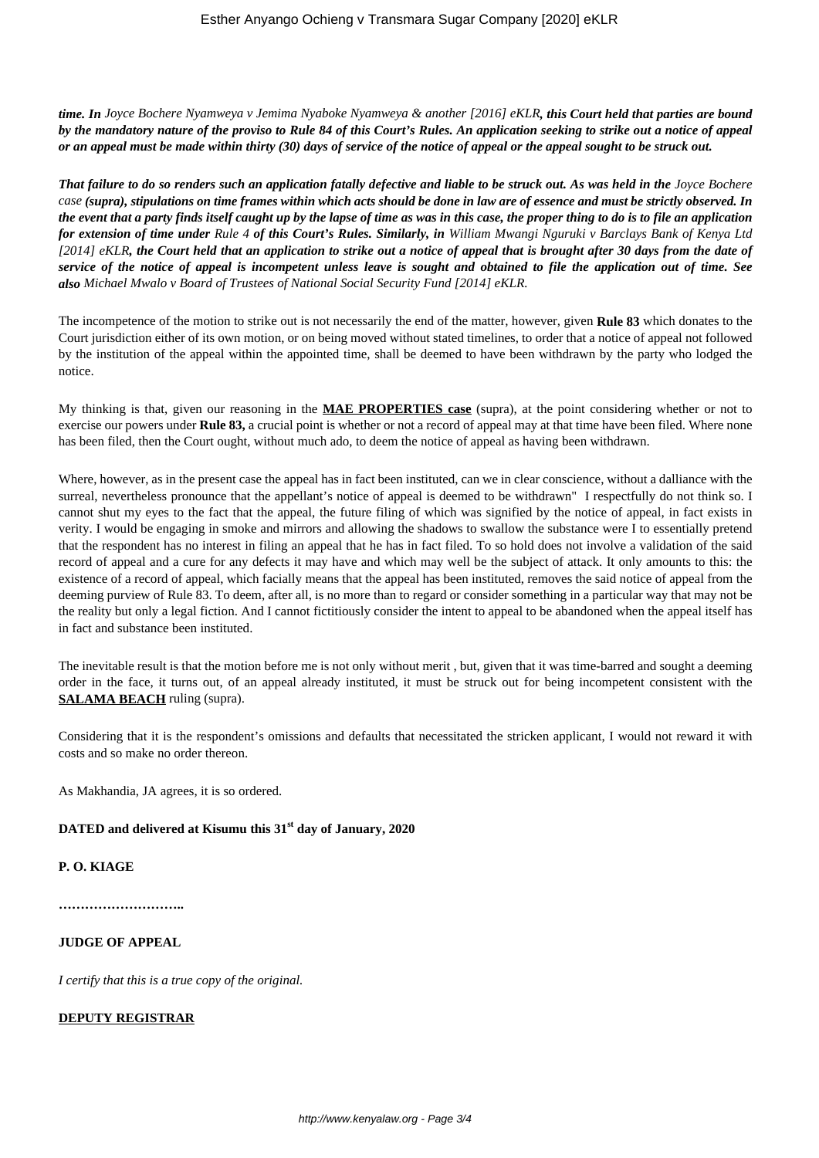*time. In Joyce Bochere Nyamweya v Jemima Nyaboke Nyamweya & another [2016] eKLR, this Court held that parties are bound by the mandatory nature of the proviso to Rule 84 of this Court's Rules. An application seeking to strike out a notice of appeal or an appeal must be made within thirty (30) days of service of the notice of appeal or the appeal sought to be struck out.*

*That failure to do so renders such an application fatally defective and liable to be struck out. As was held in the Joyce Bochere case (supra), stipulations on time frames within which acts should be done in law are of essence and must be strictly observed. In the event that a party finds itself caught up by the lapse of time as was in this case, the proper thing to do is to file an application for extension of time under Rule 4 of this Court's Rules. Similarly, in William Mwangi Nguruki v Barclays Bank of Kenya Ltd [2014] eKLR, the Court held that an application to strike out a notice of appeal that is brought after 30 days from the date of service of the notice of appeal is incompetent unless leave is sought and obtained to file the application out of time. See also Michael Mwalo v Board of Trustees of National Social Security Fund [2014] eKLR.*

The incompetence of the motion to strike out is not necessarily the end of the matter, however, given **Rule 83** which donates to the Court jurisdiction either of its own motion, or on being moved without stated timelines, to order that a notice of appeal not followed by the institution of the appeal within the appointed time, shall be deemed to have been withdrawn by the party who lodged the notice.

My thinking is that, given our reasoning in the **MAE PROPERTIES case** (supra), at the point considering whether or not to exercise our powers under **Rule 83,** a crucial point is whether or not a record of appeal may at that time have been filed. Where none has been filed, then the Court ought, without much ado, to deem the notice of appeal as having been withdrawn.

Where, however, as in the present case the appeal has in fact been instituted, can we in clear conscience, without a dalliance with the surreal, nevertheless pronounce that the appellant's notice of appeal is deemed to be withdrawn" I respectfully do not think so. I cannot shut my eyes to the fact that the appeal, the future filing of which was signified by the notice of appeal, in fact exists in verity. I would be engaging in smoke and mirrors and allowing the shadows to swallow the substance were I to essentially pretend that the respondent has no interest in filing an appeal that he has in fact filed. To so hold does not involve a validation of the said record of appeal and a cure for any defects it may have and which may well be the subject of attack. It only amounts to this: the existence of a record of appeal, which facially means that the appeal has been instituted, removes the said notice of appeal from the deeming purview of Rule 83. To deem, after all, is no more than to regard or consider something in a particular way that may not be the reality but only a legal fiction. And I cannot fictitiously consider the intent to appeal to be abandoned when the appeal itself has in fact and substance been instituted.

The inevitable result is that the motion before me is not only without merit , but, given that it was time-barred and sought a deeming order in the face, it turns out, of an appeal already instituted, it must be struck out for being incompetent consistent with the **SALAMA BEACH** ruling (supra).

Considering that it is the respondent's omissions and defaults that necessitated the stricken applicant, I would not reward it with costs and so make no order thereon.

As Makhandia, JA agrees, it is so ordered.

## **DATED and delivered at Kisumu this 31st day of January, 2020**

## **P. O. KIAGE**

**………………………..**

## **JUDGE OF APPEAL**

*I certify that this is a true copy of the original.*

### **DEPUTY REGISTRAR**